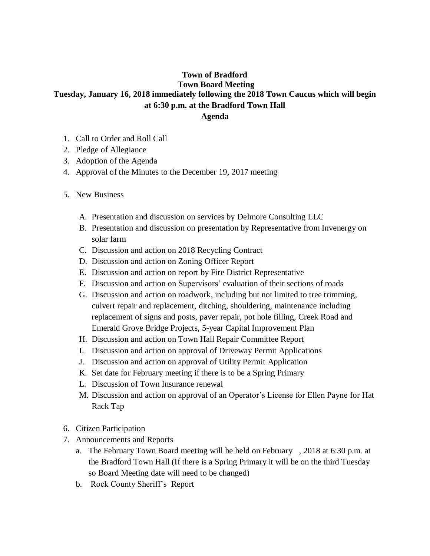## **Town of Bradford Town Board Meeting Tuesday, January 16, 2018 immediately following the 2018 Town Caucus which will begin at 6:30 p.m. at the Bradford Town Hall Agenda**

- 1. Call to Order and Roll Call
- 2. Pledge of Allegiance
- 3. Adoption of the Agenda
- 4. Approval of the Minutes to the December 19, 2017 meeting
- 5. New Business
	- A. Presentation and discussion on services by Delmore Consulting LLC
	- B. Presentation and discussion on presentation by Representative from Invenergy on solar farm
	- C. Discussion and action on 2018 Recycling Contract
	- D. Discussion and action on Zoning Officer Report
	- E. Discussion and action on report by Fire District Representative
	- F. Discussion and action on Supervisors' evaluation of their sections of roads
	- G. Discussion and action on roadwork, including but not limited to tree trimming, culvert repair and replacement, ditching, shouldering, maintenance including replacement of signs and posts, paver repair, pot hole filling, Creek Road and Emerald Grove Bridge Projects, 5-year Capital Improvement Plan
	- H. Discussion and action on Town Hall Repair Committee Report
	- I. Discussion and action on approval of Driveway Permit Applications
	- J. Discussion and action on approval of Utility Permit Application
	- K. Set date for February meeting if there is to be a Spring Primary
	- L. Discussion of Town Insurance renewal
	- M. Discussion and action on approval of an Operator's License for Ellen Payne for Hat Rack Tap
- 6. Citizen Participation
- 7. Announcements and Reports
	- a. The February Town Board meeting will be held on February , 2018 at 6:30 p.m. at the Bradford Town Hall (If there is a Spring Primary it will be on the third Tuesday so Board Meeting date will need to be changed)
	- b. Rock County Sheriff's Report